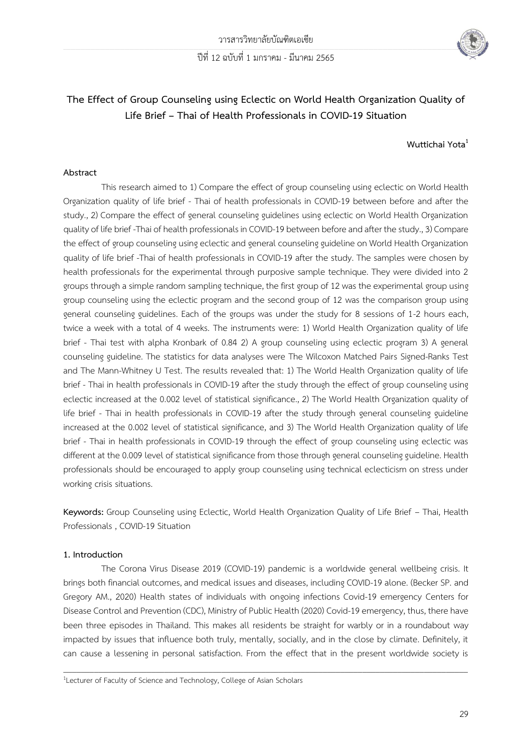

# **The Effect of Group Counseling using Eclectic on World Health Organization Quality of Life Brief – Thai of Health Professionals in COVID-19 Situation**

### **Wuttichai Yota<sup>1</sup>**

#### **Abstract**

This research aimed to 1) Compare the effect of group counseling using eclectic on World Health Organization quality of life brief - Thai of health professionals in COVID-19 between before and after the study., 2) Compare the effect of general counseling guidelines using eclectic on World Health Organization quality of life brief -Thai of health professionals in COVID-19 between before and after the study., 3) Compare the effect of group counseling using eclectic and general counseling guideline on World Health Organization quality of life brief -Thai of health professionals in COVID-19 after the study. The samples were chosen by health professionals for the experimental through purposive sample technique. They were divided into 2 groups through a simple random sampling technique, the first group of 12 was the experimental group using group counseling using the eclectic program and the second group of 12 was the comparison group using general counseling guidelines. Each of the groups was under the study for 8 sessions of 1-2 hours each, twice a week with a total of 4 weeks. The instruments were: 1) World Health Organization quality of life brief - Thai test with alpha Kronbark of 0.84 2) A group counseling using eclectic program 3) A general counseling guideline. The statistics for data analyses were The Wilcoxon Matched Pairs Signed-Ranks Test and The Mann-Whitney U Test. The results revealed that: 1) The World Health Organization quality of life brief - Thai in health professionals in COVID-19 after the study through the effect of group counseling using eclectic increased at the 0.002 level of statistical significance., 2) The World Health Organization quality of life brief - Thai in health professionals in COVID-19 after the study through general counseling guideline increased at the 0.002 level of statistical significance, and 3) The World Health Organization quality of life brief - Thai in health professionals in COVID-19 through the effect of group counseling using eclectic was different at the 0.009 level of statistical significance from those through general counseling guideline. Health professionals should be encouraged to apply group counseling using technical eclecticism on stress under working crisis situations.

**Keywords:** Group Counseling using Eclectic, World Health Organization Quality of Life Brief – Thai, Health Professionals , COVID-19 Situation

#### **1. Introduction**

The Corona Virus Disease 2019 (COVID-19) pandemic is a worldwide general wellbeing crisis. It brings both financial outcomes, and medical issues and diseases, including COVID-19 alone. (Becker SP. and Gregory AM., 2020) Health states of individuals with ongoing infections Covid-19 emergency Centers for Disease Control and Prevention (CDC), Ministry of Public Health (2020) Covid-19 emergency, thus, there have been three episodes in Thailand. This makes all residents be straight for warbly or in a roundabout way impacted by issues that influence both truly, mentally, socially, and in the close by climate. Definitely, it can cause a lessening in personal satisfaction. From the effect that in the present worldwide society is

 $\_$  ,  $\_$  ,  $\_$  ,  $\_$  ,  $\_$  ,  $\_$  ,  $\_$  ,  $\_$  ,  $\_$  ,  $\_$  ,  $\_$  ,  $\_$  ,  $\_$  ,  $\_$  ,  $\_$  ,  $\_$  ,  $\_$  ,  $\_$  ,  $\_$  ,  $\_$  ,  $\_$  ,  $\_$  ,  $\_$  ,  $\_$  ,  $\_$  ,  $\_$  ,  $\_$  ,  $\_$  ,  $\_$  ,  $\_$  ,  $\_$  ,  $\_$  ,  $\_$  ,  $\_$  ,  $\_$  ,  $\_$  ,  $\_$  ,

<sup>&</sup>lt;sup>1</sup>Lecturer of Faculty of Science and Technology, College of Asian Scholars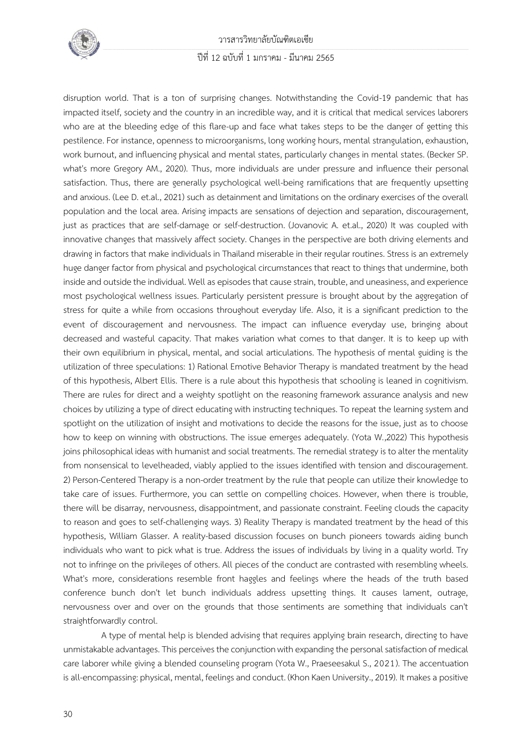

วารสารวิทยาลัยบัณฑิตเอเซีย

### ปีที่ 12 ฉบับที่ 1 มกราคม - มีนาคม 2565

disruption world. That is a ton of surprising changes. Notwithstanding the Covid-19 pandemic that has impacted itself, society and the country in an incredible way, and it is critical that medical services laborers who are at the bleeding edge of this flare-up and face what takes steps to be the danger of getting this pestilence. For instance, openness to microorganisms, long working hours, mental strangulation, exhaustion, work burnout, and influencing physical and mental states, particularly changes in mental states. (Becker SP. what's more Gregory AM., 2020). Thus, more individuals are under pressure and influence their personal satisfaction. Thus, there are generally psychological well-being ramifications that are frequently upsetting and anxious. (Lee D. et.al., 2021) such as detainment and limitations on the ordinary exercises of the overall population and the local area. Arising impacts are sensations of dejection and separation, discouragement, just as practices that are self-damage or self-destruction. (Jovanovic A. et.al., 2020) It was coupled with innovative changes that massively affect society. Changes in the perspective are both driving elements and drawing in factors that make individuals in Thailand miserable in their regular routines. Stress is an extremely huge danger factor from physical and psychological circumstances that react to things that undermine, both inside and outside the individual. Well as episodes that cause strain, trouble, and uneasiness, and experience most psychological wellness issues. Particularly persistent pressure is brought about by the aggregation of stress for quite a while from occasions throughout everyday life. Also, it is a significant prediction to the event of discouragement and nervousness. The impact can influence everyday use, bringing about decreased and wasteful capacity. That makes variation what comes to that danger. It is to keep up with their own equilibrium in physical, mental, and social articulations. The hypothesis of mental guiding is the utilization of three speculations: 1) Rational Emotive Behavior Therapy is mandated treatment by the head of this hypothesis, Albert Ellis. There is a rule about this hypothesis that schooling is leaned in cognitivism. There are rules for direct and a weighty spotlight on the reasoning framework assurance analysis and new choices by utilizing a type of direct educating with instructing techniques. To repeat the learning system and spotlight on the utilization of insight and motivations to decide the reasons for the issue, just as to choose how to keep on winning with obstructions. The issue emerges adequately. (Yota W.,2022) This hypothesis joins philosophical ideas with humanist and social treatments. The remedial strategy is to alter the mentality from nonsensical to levelheaded, viably applied to the issues identified with tension and discouragement. 2) Person-Centered Therapy is a non-order treatment by the rule that people can utilize their knowledge to take care of issues. Furthermore, you can settle on compelling choices. However, when there is trouble, there will be disarray, nervousness, disappointment, and passionate constraint. Feeling clouds the capacity to reason and goes to self-challenging ways. 3) Reality Therapy is mandated treatment by the head of this hypothesis, William Glasser. A reality-based discussion focuses on bunch pioneers towards aiding bunch individuals who want to pick what is true. Address the issues of individuals by living in a quality world. Try not to infringe on the privileges of others. All pieces of the conduct are contrasted with resembling wheels. What's more, considerations resemble front haggles and feelings where the heads of the truth based conference bunch don't let bunch individuals address upsetting things. It causes lament, outrage, nervousness over and over on the grounds that those sentiments are something that individuals can't straightforwardly control.

A type of mental help is blended advising that requires applying brain research, directing to have unmistakable advantages. This perceives the conjunction with expanding the personal satisfaction of medical care laborer while giving a blended counseling program (Yota W., Praeseesakul S., 2021). The accentuation is all-encompassing: physical, mental, feelings and conduct. (Khon Kaen University., 2019). It makes a positive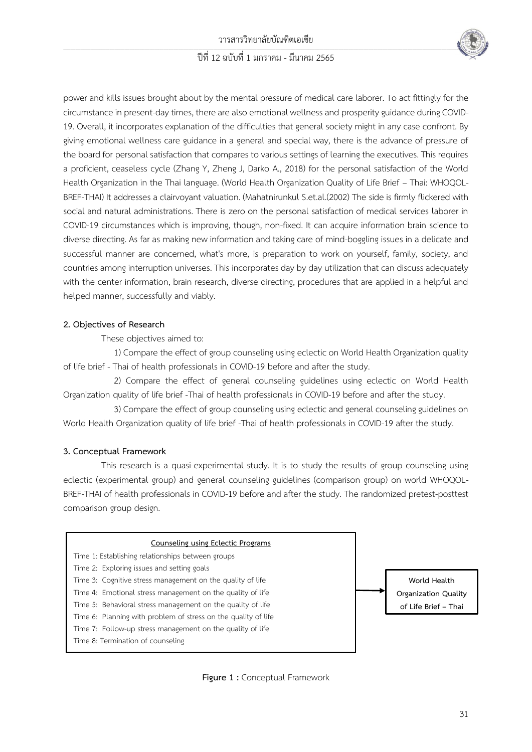#### \_\_\_\_\_\_\_\_\_\_\_\_\_\_\_\_\_\_\_\_\_\_\_\_\_\_\_\_\_\_\_\_\_\_\_\_\_\_\_\_\_\_\_\_\_\_\_\_\_\_\_\_\_\_\_\_\_\_\_\_\_\_\_\_\_\_\_\_\_\_\_\_\_\_\_\_\_\_\_\_\_\_\_\_\_\_\_\_\_\_\_\_\_\_\_\_\_\_\_\_\_\_\_\_\_\_\_\_\_\_\_\_\_\_\_\_\_\_\_\_\_\_\_\_\_\_\_\_\_\_\_\_\_\_\_\_\_\_\_\_\_\_\_\_\_\_\_\_\_\_\_\_\_\_\_\_\_\_\_\_\_\_\_\_\_\_\_\_\_\_\_\_\_\_\_\_\_\_\_\_\_\_\_\_\_\_\_\_\_\_\_\_\_\_\_\_\_\_\_\_\_\_\_\_\_\_\_\_\_\_\_\_\_\_\_\_\_\_\_\_\_\_\_\_\_\_\_\_\_\_\_\_\_\_\_\_\_\_\_\_\_\_\_\_\_\_\_\_\_\_\_\_\_\_\_\_\_\_\_\_\_\_\_\_\_\_\_\_\_\_\_\_\_\_\_\_\_\_\_\_\_\_\_\_\_\_\_\_\_\_\_\_\_\_\_\_\_\_\_\_\_\_\_\_\_\_\_\_\_\_\_\_\_\_\_\_\_\_\_\_\_\_\_\_\_\_\_\_\_\_\_\_\_\_\_\_\_\_\_\_\_\_\_\_\_\_\_\_\_\_\_\_\_\_\_\_\_\_\_\_\_\_\_\_\_\_\_\_\_\_\_\_\_\_\_\_\_\_\_\_\_\_\_\_\_\_\_\_\_\_\_\_\_\_\_\_\_\_\_\_\_\_\_\_\_\_\_\_\_\_\_\_\_\_\_\_\_\_\_\_\_\_\_\_\_\_\_\_\_\_\_\_\_\_\_\_\_\_\_\_\_\_\_\_\_\_\_\_\_\_\_\_\_\_\_\_\_\_\_\_\_\_\_\_\_\_\_\_\_\_\_\_\_\_\_\_\_\_\_\_\_\_\_\_\_\_\_\_\_\_\_\_\_\_\_\_\_\_\_\_\_\_\_\_\_\_\_\_\_\_\_\_\_\_\_\_\_\_\_\_\_\_\_\_\_\_\_\_\_\_\_\_\_\_\_\_\_\_\_\_\_\_\_\_\_\_\_\_\_\_\_\_\_\_\_\_\_\_\_\_\_\_\_\_\_\_\_\_\_\_\_\_\_\_\_\_\_\_\_\_\_\_\_\_\_\_\_\_\_\_\_\_\_\_\_\_\_\_\_\_\_\_\_\_\_\_\_\_\_\_\_\_\_\_\_\_\_\_\_\_ ปีที่ 12 ฉบับที่ 1 มกราคม - มีนาคม 2565



power and kills issues brought about by the mental pressure of medical care laborer. To act fittingly for the circumstance in present-day times, there are also emotional wellness and prosperity guidance during COVID-19. Overall, it incorporates explanation of the difficulties that general society might in any case confront. By giving emotional wellness care guidance in a general and special way, there is the advance of pressure of the board for personal satisfaction that compares to various settings of learning the executives. This requires a proficient, ceaseless cycle (Zhang Y, Zheng J, Darko A., 2018) for the personal satisfaction of the World Health Organization in the Thai language. (World Health Organization Quality of Life Brief – Thai: WHOQOL-BREF-THAI) It addresses a clairvoyant valuation. (Mahatnirunkul S.et.al.(2002) The side is firmly flickered with social and natural administrations. There is zero on the personal satisfaction of medical services laborer in COVID-19 circumstances which is improving, though, non-fixed. It can acquire information brain science to diverse directing. As far as making new information and taking care of mind-boggling issues in a delicate and successful manner are concerned, what's more, is preparation to work on yourself, family, society, and countries among interruption universes. This incorporates day by day utilization that can discuss adequately with the center information, brain research, diverse directing, procedures that are applied in a helpful and helped manner, successfully and viably.

#### **2. Objectives of Research**

These objectives aimed to:

1) Compare the effect of group counseling using eclectic on World Health Organization quality of life brief - Thai of health professionals in COVID-19 before and after the study.

2) Compare the effect of general counseling guidelines using eclectic on World Health Organization quality of life brief -Thai of health professionals in COVID-19 before and after the study.

3) Compare the effect of group counseling using eclectic and general counseling guidelines on World Health Organization quality of life brief -Thai of health professionals in COVID-19 after the study.

### **3. Conceptual Framework**

This research is a quasi-experimental study. It is to study the results of group counseling using eclectic (experimental group) and general counseling guidelines (comparison group) on world WHOQOL-BREF-THAI of health professionals in COVID-19 before and after the study. The randomized pretest-posttest comparison group design.



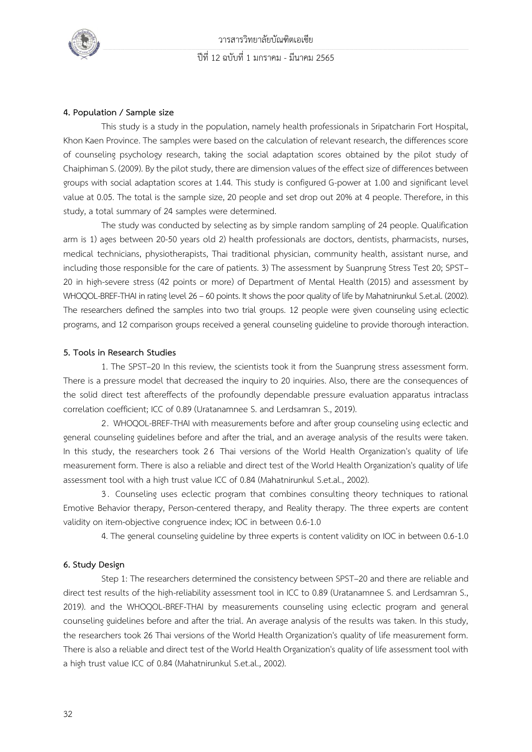

#### **4. Population / Sample size**

This study is a study in the population, namely health professionals in Sripatcharin Fort Hospital, Khon Kaen Province. The samples were based on the calculation of relevant research, the differences score of counseling psychology research, taking the social adaptation scores obtained by the pilot study of Chaiphiman S. (2009). By the pilot study, there are dimension values of the effect size of differences between groups with social adaptation scores at 1.44. This study is configured G-power at 1.00 and significant level value at 0.05. The total is the sample size, 20 people and set drop out 20% at 4 people. Therefore, in this study, a total summary of 24 samples were determined.

The study was conducted by selecting as by simple random sampling of 24 people. Qualification arm is 1) ages between 20-50 years old 2) health professionals are doctors, dentists, pharmacists, nurses, medical technicians, physiotherapists, Thai traditional physician, community health, assistant nurse, and including those responsible for the care of patients. 3) The assessment by Suanprung Stress Test 20; SPST– 20 in high-severe stress (42 points or more) of Department of Mental Health (2015) and assessment by WHOQOL-BREF-THAI in rating level 26 – 60 points. It shows the poor quality of life by Mahatnirunkul S.et.al. (2002). The researchers defined the samples into two trial groups. 12 people were given counseling using eclectic programs, and 12 comparison groups received a general counseling guideline to provide thorough interaction.

#### **5. Tools in Research Studies**

1. The SPST–20 In this review, the scientists took it from the Suanprung stress assessment form. There is a pressure model that decreased the inquiry to 20 inquiries. Also, there are the consequences of the solid direct test aftereffects of the profoundly dependable pressure evaluation apparatus intraclass correlation coefficient; ICC of 0.89 (Uratanamnee S. and Lerdsamran S., 2019).

2. WHOQOL-BREF-THAI with measurements before and after group counseling using eclectic and general counseling guidelines before and after the trial, and an average analysis of the results were taken. In this study, the researchers took 26 Thai versions of the World Health Organization's quality of life measurement form. There is also a reliable and direct test of the World Health Organization's quality of life assessment tool with a high trust value ICC of 0.84 (Mahatnirunkul S.et.al., 2002).

3 . Counseling uses eclectic program that combines consulting theory techniques to rational Emotive Behavior therapy, Person-centered therapy, and Reality therapy. The three experts are content validity on item-objective congruence index; IOC in between 0.6-1.0

4. The general counseling guideline by three experts is content validity on IOC in between 0.6-1.0

#### **6. Study Design**

Step 1: The researchers determined the consistency between SPST–20 and there are reliable and direct test results of the high-reliability assessment tool in ICC to 0.89 (Uratanamnee S. and Lerdsamran S., 2019). and the WHOQOL-BREF-THAI by measurements counseling using eclectic program and general counseling guidelines before and after the trial. An average analysis of the results was taken. In this study, the researchers took 26 Thai versions of the World Health Organization's quality of life measurement form. There is also a reliable and direct test of the World Health Organization's quality of life assessment tool with a high trust value ICC of 0.84 (Mahatnirunkul S.et.al., 2002).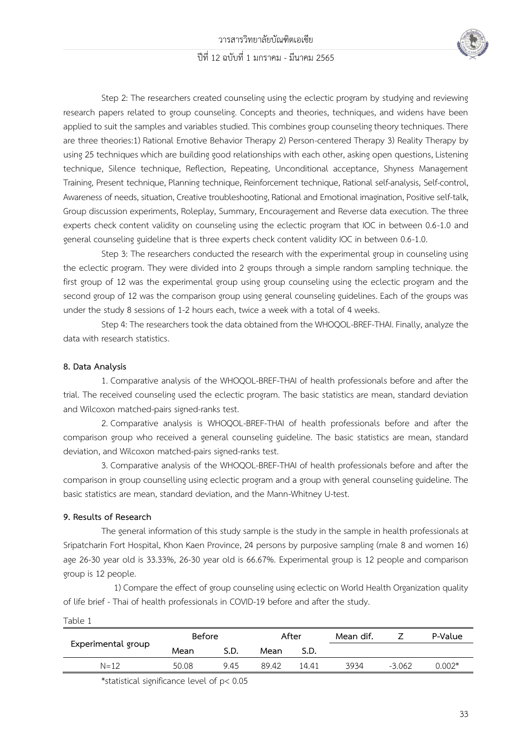

Step 2: The researchers created counseling using the eclectic program by studying and reviewing research papers related to group counseling. Concepts and theories, techniques, and widens have been applied to suit the samples and variables studied. This combines group counseling theory techniques. There are three theories:1) Rational Emotive Behavior Therapy 2) Person-centered Therapy 3) Reality Therapy by using 25 techniques which are building good relationships with each other, asking open questions, Listening technique, Silence technique, Reflection, Repeating, Unconditional acceptance, Shyness Management Training, Present technique, Planning technique, Reinforcement technique, Rational self-analysis, Self-control, Awareness of needs, situation, Creative troubleshooting, Rational and Emotional imagination, Positive self-talk, Group discussion experiments, Roleplay, Summary, Encouragement and Reverse data execution. The three experts check content validity on counseling using the eclectic program that IOC in between 0.6-1.0 and general counseling guideline that is three experts check content validity IOC in between 0.6-1.0.

Step 3: The researchers conducted the research with the experimental group in counseling using the eclectic program. They were divided into 2 groups through a simple random sampling technique. the first group of 12 was the experimental group using group counseling using the eclectic program and the second group of 12 was the comparison group using general counseling guidelines. Each of the groups was under the study 8 sessions of 1-2 hours each, twice a week with a total of 4 weeks.

Step 4: The researchers took the data obtained from the WHOQOL-BREF-THAI. Finally, analyze the data with research statistics.

#### **8. Data Analysis**

1. Comparative analysis of the WHOQOL-BREF-THAI of health professionals before and after the trial. The received counseling used the eclectic program. The basic statistics are mean, standard deviation and Wilcoxon matched-pairs signed-ranks test.

2. Comparative analysis is WHOQOL-BREF-THAI of health professionals before and after the comparison group who received a general counseling guideline. The basic statistics are mean, standard deviation, and Wilcoxon matched-pairs signed-ranks test.

3. Comparative analysis of the WHOQOL-BREF-THAI of health professionals before and after the comparison in group counselling using eclectic program and a group with general counseling guideline. The basic statistics are mean, standard deviation, and the Mann-Whitney U-test.

#### **9. Results of Research**

The general information of this study sample is the study in the sample in health professionals at Sripatcharin Fort Hospital, Khon Kaen Province, 24 persons by purposive sampling (male 8 and women 16) age 26-30 year old is 33.33%, 26-30 year old is 66.67%. Experimental group is 12 people and comparison group is 12 people.

1) Compare the effect of group counseling using eclectic on World Health Organization quality of life brief - Thai of health professionals in COVID-19 before and after the study.

Table 1

| Experimental group | Before |      | After |       | Mean dif. |          | P-Value  |
|--------------------|--------|------|-------|-------|-----------|----------|----------|
|                    | Mean   | S.D. | Mean  | S.D.  |           |          |          |
| $N = 12$           | 50.08  | 945  | 89.42 | 14 41 | 3934      | $-3.062$ | $0.002*$ |

\*statistical significance level of p< 0.05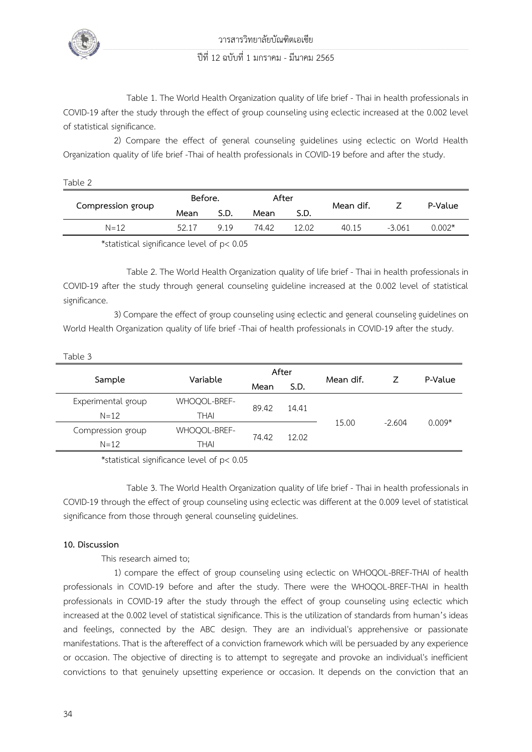

วารสารวิทยาลัยบัณฑิตเอเซีย

### ปีที่ 12 ฉบับที่ 1 มกราคม - มีนาคม 2565

Table 1. The World Health Organization quality of life brief - Thai in health professionals in COVID-19 after the study through the effect of group counseling using eclectic increased at the 0.002 level of statistical significance.

2) Compare the effect of general counseling guidelines using eclectic on World Health Organization quality of life brief -Thai of health professionals in COVID-19 before and after the study.

Table 2

| Compression group                                                                                                                                                                                                                | Before. |      | After |       |           |          | P-Value  |
|----------------------------------------------------------------------------------------------------------------------------------------------------------------------------------------------------------------------------------|---------|------|-------|-------|-----------|----------|----------|
|                                                                                                                                                                                                                                  | Mean    | S.D. | Mean  | S.D.  | Mean dif. |          |          |
| $N = 12$                                                                                                                                                                                                                         | 52.17   | 919  | 74.42 | 12.02 | 40.15     | $-3.061$ | $0.002*$ |
| $\ddot{x}$ is in the set of the set of the set of the set of the set of the set of the set of the set of the set of the set of the set of the set of the set of the set of the set of the set of the set of the set of the set o |         |      |       |       |           |          |          |

\*statistical significance level of p< 0.05

Table 2. The World Health Organization quality of life brief - Thai in health professionals in COVID-19 after the study through general counseling guideline increased at the 0.002 level of statistical significance.

3) Compare the effect of group counseling using eclectic and general counseling guidelines on World Health Organization quality of life brief -Thai of health professionals in COVID-19 after the study.

| Table 3            |              |       |       |           |          |          |
|--------------------|--------------|-------|-------|-----------|----------|----------|
| Sample             |              | After |       |           |          |          |
|                    | Variable     | Mean  | S.D.  | Mean dif. | 7        | P-Value  |
| Experimental group | WHOQOL-BREF- |       | 14.41 | 15.00     | $-2.604$ | $0.009*$ |
| $N = 12$           | THAI         | 89.42 |       |           |          |          |
| Compression group  | WHOQOL-BREF- |       | 12.02 |           |          |          |
| $N = 12$           | THAI         | 74.42 |       |           |          |          |

\*statistical significance level of p< 0.05

Table 3. The World Health Organization quality of life brief - Thai in health professionals in COVID-19 through the effect of group counseling using eclectic was different at the 0.009 level of statistical significance from those through general counseling guidelines.

#### **10. Discussion**

This research aimed to;

1) compare the effect of group counseling using eclectic on WHOQOL-BREF-THAI of health professionals in COVID-19 before and after the study. There were the WHOQOL-BREF-THAI in health professionals in COVID-19 after the study through the effect of group counseling using eclectic which increased at the 0.002 level of statistical significance. This is the utilization of standards from human's ideas and feelings, connected by the ABC design. They are an individual's apprehensive or passionate manifestations. That is the aftereffect of a conviction framework which will be persuaded by any experience or occasion. The objective of directing is to attempt to segregate and provoke an individual's inefficient convictions to that genuinely upsetting experience or occasion. It depends on the conviction that an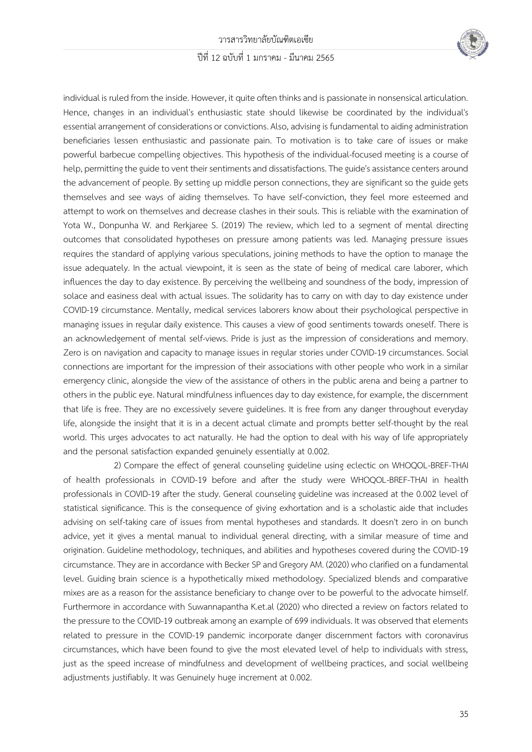

individual is ruled from the inside. However, it quite often thinks and is passionate in nonsensical articulation. Hence, changes in an individual's enthusiastic state should likewise be coordinated by the individual's essential arrangement of considerations or convictions. Also, advising is fundamental to aiding administration beneficiaries lessen enthusiastic and passionate pain. To motivation is to take care of issues or make powerful barbecue compelling objectives. This hypothesis of the individual-focused meeting is a course of help, permitting the guide to vent their sentiments and dissatisfactions. The guide's assistance centers around the advancement of people. By setting up middle person connections, they are significant so the guide gets themselves and see ways of aiding themselves. To have self-conviction, they feel more esteemed and attempt to work on themselves and decrease clashes in their souls. This is reliable with the examination of Yota W., Donpunha W. and Rerkjaree S. (2019) The review, which led to a segment of mental directing outcomes that consolidated hypotheses on pressure among patients was led. Managing pressure issues requires the standard of applying various speculations, joining methods to have the option to manage the issue adequately. In the actual viewpoint, it is seen as the state of being of medical care laborer, which influences the day to day existence. By perceiving the wellbeing and soundness of the body, impression of solace and easiness deal with actual issues. The solidarity has to carry on with day to day existence under COVID-19 circumstance. Mentally, medical services laborers know about their psychological perspective in managing issues in regular daily existence. This causes a view of good sentiments towards oneself. There is an acknowledgement of mental self-views. Pride is just as the impression of considerations and memory. Zero is on navigation and capacity to manage issues in regular stories under COVID-19 circumstances. Social connections are important for the impression of their associations with other people who work in a similar emergency clinic, alongside the view of the assistance of others in the public arena and being a partner to others in the public eye. Natural mindfulness influences day to day existence, for example, the discernment that life is free. They are no excessively severe guidelines. It is free from any danger throughout everyday life, alongside the insight that it is in a decent actual climate and prompts better self-thought by the real world. This urges advocates to act naturally. He had the option to deal with his way of life appropriately and the personal satisfaction expanded genuinely essentially at 0.002.

2) Compare the effect of general counseling guideline using eclectic on WHOQOL-BREF-THAI of health professionals in COVID-19 before and after the study were WHOQOL-BREF-THAI in health professionals in COVID-19 after the study. General counseling guideline was increased at the 0.002 level of statistical significance. This is the consequence of giving exhortation and is a scholastic aide that includes advising on self-taking care of issues from mental hypotheses and standards. It doesn't zero in on bunch advice, yet it gives a mental manual to individual general directing, with a similar measure of time and origination. Guideline methodology, techniques, and abilities and hypotheses covered during the COVID-19 circumstance. They are in accordance with Becker SP and Gregory AM. (2020) who clarified on a fundamental level. Guiding brain science is a hypothetically mixed methodology. Specialized blends and comparative mixes are as a reason for the assistance beneficiary to change over to be powerful to the advocate himself. Furthermore in accordance with Suwannapantha K.et.al (2020) who directed a review on factors related to the pressure to the COVID-19 outbreak among an example of 699 individuals. It was observed that elements related to pressure in the COVID-19 pandemic incorporate danger discernment factors with coronavirus circumstances, which have been found to give the most elevated level of help to individuals with stress, just as the speed increase of mindfulness and development of wellbeing practices, and social wellbeing adjustments justifiably. It was Genuinely huge increment at 0.002.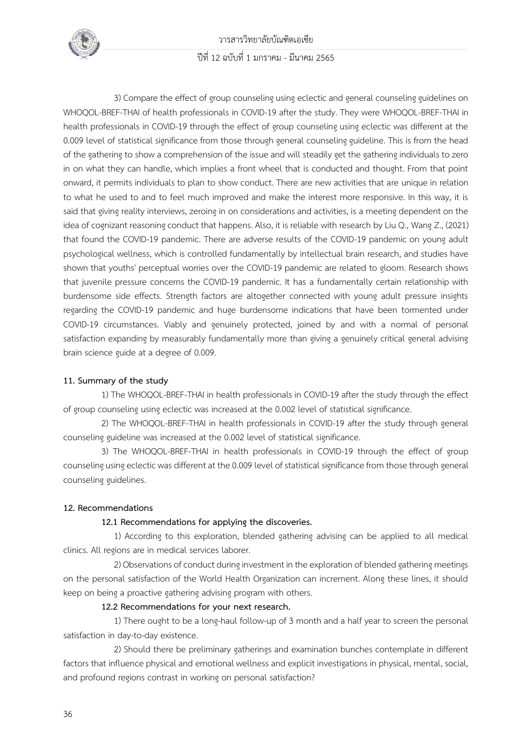

วารสารวิทยาลัยบัณฑิตเอเซีย ปีที่ 12 ฉบับที่ 1 มกราคม - มีนาคม 2565

3) Compare the effect of group counseling using eclectic and general counseling guidelines on WHOQOL-BREF-THAI of health professionals in COVID-19 after the study. They were WHOQOL-BREF-THAI in health professionals in COVID-19 through the effect of group counseling using eclectic was different at the 0.009 level of statistical significance from those through general counseling guideline. This is from the head of the gathering to show a comprehension of the issue and will steadily get the gathering individuals to zero in on what they can handle, which implies a front wheel that is conducted and thought. From that point onward, it permits individuals to plan to show conduct. There are new activities that are unique in relation to what he used to and to feel much improved and make the interest more responsive. In this way, it is said that giving reality interviews, zeroing in on considerations and activities, is a meeting dependent on the idea of cognizant reasoning conduct that happens. Also, it is reliable with research by Liu Q., Wang Z., (2021) that found the COVID-19 pandemic. There are adverse results of the COVID-19 pandemic on young adult psychological wellness, which is controlled fundamentally by intellectual brain research, and studies have shown that youths' perceptual worries over the COVID-19 pandemic are related to gloom. Research shows that juvenile pressure concerns the COVID-19 pandemic. It has a fundamentally certain relationship with burdensome side effects. Strength factors are altogether connected with young adult pressure insights regarding the COVID-19 pandemic and huge burdensome indications that have been tormented under COVID-19 circumstances. Viably and genuinely protected, joined by and with a normal of personal satisfaction expanding by measurably fundamentally more than giving a genuinely critical general advising brain science guide at a degree of 0.009.

#### **11. Summary of the study**

1) The WHOQOL-BREF-THAI in health professionals in COVID-19 after the study through the effect of group counseling using eclectic was increased at the 0.002 level of statistical significance.

2) The WHOQOL-BREF-THAI in health professionals in COVID-19 after the study through general counseling guideline was increased at the 0.002 level of statistical significance.

3) The WHOQOL-BREF-THAI in health professionals in COVID-19 through the effect of group counseling using eclectic was different at the 0.009 level of statistical significance from those through general counseling guidelines.

#### **12. Recommendations**

#### **12.1 Recommendations for applying the discoveries.**

 1) According to this exploration, blended gathering advising can be applied to all medical clinics. All regions are in medical services laborer.

 2) Observations of conduct during investment in the exploration of blended gathering meetings on the personal satisfaction of the World Health Organization can increment. Along these lines, it should keep on being a proactive gathering advising program with others.

#### **12.2 Recommendations for your next research.**

1) There ought to be a long-haul follow-up of 3 month and a half year to screen the personal satisfaction in day-to-day existence.

2) Should there be preliminary gatherings and examination bunches contemplate in different factors that influence physical and emotional wellness and explicit investigations in physical, mental, social, and profound regions contrast in working on personal satisfaction?